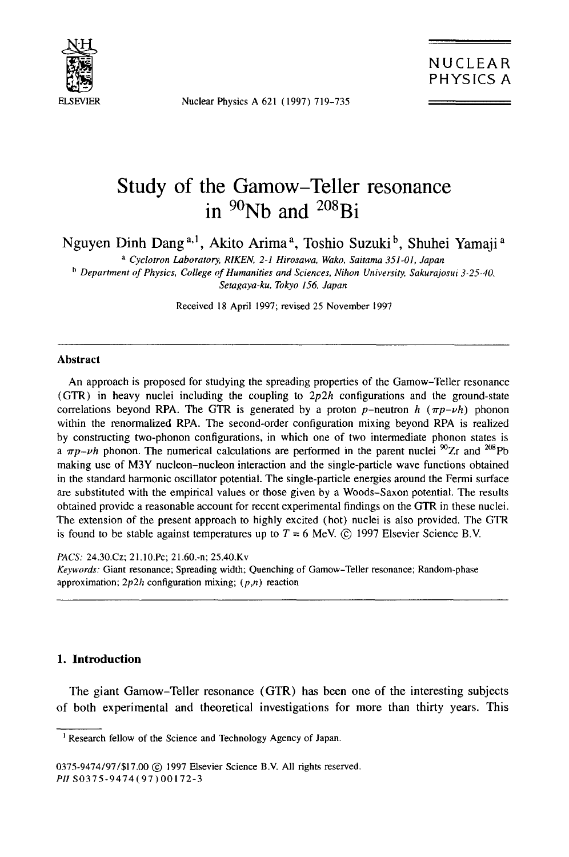

Nuclear Physics A 621 (1997) 719-735

# **Study of the Gamow-Teller resonance in 9°Nb and 208Bi**

Nguyen Dinh Dang **a,l,** Akito Arima a, Toshio Suzuki b, Shuhei Yamaji **<sup>a</sup>**

*a Cyclotron Laboratory, RIKEN, 2-1 Hirosawa, Wako, Saitama 351-01, Japan* 

*b Department of Physics, College of Humanities and Sciences, Nihon University, Sakurajosui 3-25-40, Setagaya-ku, Tokyo 156, Japan* 

Received 18 April 1997; revised 25 November 1997

#### **Abstract**

An approach is proposed for studying the spreading properties of the Gamow-Teller resonance (GTR) in heavy nuclei including the coupling to  $2p2h$  configurations and the ground-state correlations beyond RPA. The GTR is generated by a proton  $p$ -neutron  $h$  ( $\pi p$ - $\nu h$ ) phonon within the renormalized RPA. The second-order configuration mixing beyond RPA is realized by constructing two-phonon configurations, in which one of two intermediate phonon states is *a*  $\pi p$ *-vh* phonon. The numerical calculations are performed in the parent nuclei  ${}^{90}Zr$  and  ${}^{208}Pb$ making use of M3Y nucleon-nucleon interaction and the single-particle wave functions obtained in the standard harmonic oscillator potential. The single-particle energies around the Fermi surface are substituted with the empirical values or those given by a Woods-Saxon potential. The results obtained provide a reasonable account for recent experimental findings on the GTR in these nuclei. The extension of the present approach to highly excited (hot) nuclei is also provided. The GTR is found to be stable against temperatures up to  $T = 6$  MeV. (c) 1997 Elsevier Science B.V.

*PACS:* 24.30.Cz; 21.10.Pc; 21.60.-n; 25.40.Kv

*Keywords:* Giant resonance; Spreading width; Quenching of Gamow-Teller resonance; Random-phase approximation;  $2p2h$  configuration mixing;  $(p,n)$  reaction

# **I. Introduction**

The giant Gamow-Teller resonance (GTR) has been one of the interesting subjects of both experimental and theoretical investigations for more than thirty years. This

<sup>&</sup>lt;sup>1</sup> Research fellow of the Science and Technology Agency of Japan.

<sup>0375-9474/97/\$17.00 @ 1997</sup> Elsevier Science B.V. All rights reserved. *PH* S0375-9474(97) 00172-3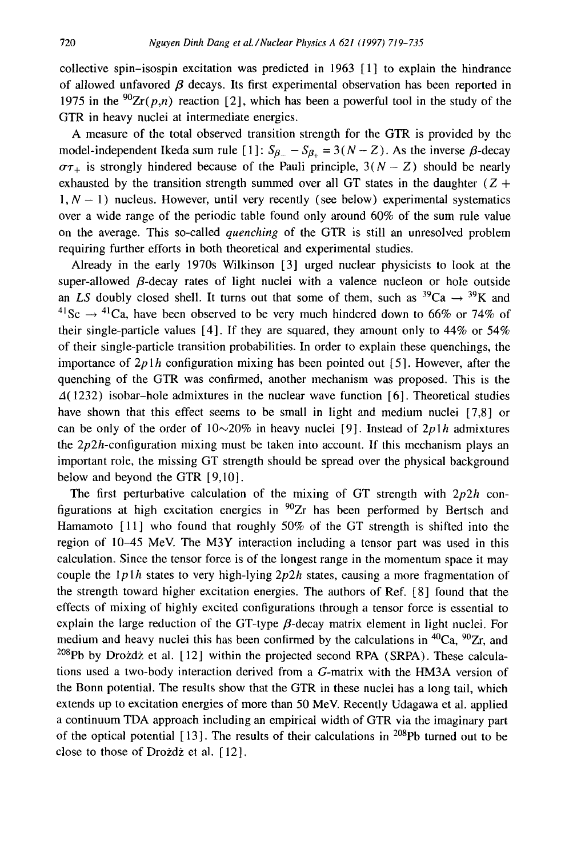collective spin-isospin excitation was predicted in 1963 [ 1] to explain the hindrance of allowed unfavored  $\beta$  decays. Its first experimental observation has been reported in 1975 in the <sup>90</sup>Zr(p,n) reaction [2], which has been a powerful tool in the study of the GTR in heavy nuclei at intermediate energies.

A measure of the total observed transition strength for the GTR is provided by the model-independent Ikeda sum rule  $[1]$ :  $S_{\beta}$  –  $S_{\beta}$  = 3(N – Z). As the inverse  $\beta$ -decay  $\sigma\tau_+$  is strongly hindered because of the Pauli principle,  $3(N - Z)$  should be nearly exhausted by the transition strength summed over all GT states in the daughter ( $Z +$  $1, N - 1$ ) nucleus. However, until very recently (see below) experimental systematics over a wide range of the periodic table found only around 60% of the sum rule value on the average. This so-called *quenching* of the GTR is still an unresolved problem requiring further efforts in both theoretical and experimental studies.

Already in the early 1970s Wilkinson [3] urged nuclear physicists to look at the super-allowed  $\beta$ -decay rates of light nuclei with a valence nucleon or hole outside an *LS* doubly closed shell. It turns out that some of them, such as  ${}^{39}Ca \rightarrow {}^{39}K$  and <sup>41</sup>Sc  $\rightarrow$  <sup>41</sup>Ca, have been observed to be very much hindered down to 66% or 74% of their single-particle values [4]. If they are squared, they amount only to 44% or 54% of their single-particle transition probabilities. In order to explain these quenchings, the importance of  $2p1h$  configuration mixing has been pointed out [5]. However, after the quenching of the GTR was confirmed, another mechanism was proposed. This is the  $\Delta(1232)$  isobar-hole admixtures in the nuclear wave function [6]. Theoretical studies have shown that this effect seems to be small in light and medium nuclei [7,8] or can be only of the order of  $10~20\%$  in heavy nuclei [9]. Instead of  $2p1h$  admixtures the  $2p2h$ -configuration mixing must be taken into account. If this mechanism plays an important role, the missing GT strength should be spread over the physical background below and beyond the GTR [9,10].

The first perturbative calculation of the mixing of GT strength with *2p2h* configurations at high excitation energies in  $90Zr$  has been performed by Bertsch and Hamamoto [ 11] who found that roughly 50% of the GT strength is shifted into the region of 10-45 MeV. The M3Y interaction including a tensor part was used in this calculation. Since the tensor force is of the longest range in the momentum space it may couple the *lplh* states to very high-lying *2p2h* states, causing a more fragmentation of the strength toward higher excitation energies. The authors of Ref. [8] found that the effects of mixing of highly excited configurations through a tensor force is essential to explain the large reduction of the GT-type  $\beta$ -decay matrix element in light nuclei. For medium and heavy nuclei this has been confirmed by the calculations in  ${}^{40}Ca$ ,  ${}^{90}Zr$ , and <sup>208</sup>Pb by Drozdz et al. [12] within the projected second RPA (SRPA). These calculations used a two-body interaction derived from a G-matrix with the HM3A version of the Bonn potential. The results show that the GTR in these nuclei has a long tail, which extends up to excitation energies of more than 50 MeV. Recently Udagawa et al. applied a continuum TDA approach including an empirical width of GTR via the imaginary part of the optical potential  $[13]$ . The results of their calculations in <sup>208</sup>Pb turned out to be close to those of Drozdz et al. [12].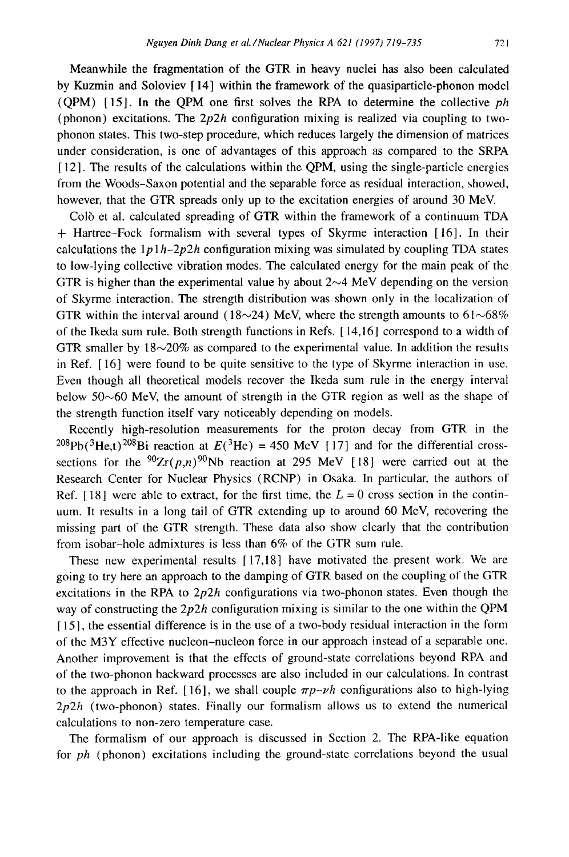Meanwhile the fragmentation of the GTR in heavy nuclei has also been calculated by Kuzmin and Soloviev [ 14] within the framework of the quasiparticle-phonon model (QPM) [15]. In the QPM one first solves the RPA to determine the collective *ph*  (phonon) excitations. The  $2p2h$  configuration mixing is realized via coupling to twophonon states. This two-step procedure, which reduces largely the dimension of matrices under consideration, is one of advantages of this approach as compared to the SRPA [ 12]. The results of the calculations within the QPM, using the single-particle energies from the Woods-Saxon potential and the separable force as residual interaction, showed, however, that the GTR spreads only up to the excitation energies of around 30 MeV.

Co16 et al. calculated spreading of GTR within the framework of a continuum TDA + Hartree-Fock formalism with several types of Skyrme interaction [ 16]. In their calculations the  $1p_1h-2p_2h$  configuration mixing was simulated by coupling TDA states to low-lying collective vibration modes. The calculated energy for the main peak of the GTR is higher than the experimental value by about  $2 \sim 4$  MeV depending on the version of Skyrme interaction. The strength distribution was shown only in the localization of GTR within the interval around (18~24) MeV, where the strength amounts to  $61~68\%$ of the Ikeda sum rule. Both strength functions in Refs. [ 14,16] correspond to a width of GTR smaller by  $18 \sim 20\%$  as compared to the experimental value. In addition the results in Ref. [ 16] were found to be quite sensitive to the type of Skyrme interaction in use. Even though all theoretical models recover the Ikeda sum rule in the energy interval below  $50~60$  MeV, the amount of strength in the GTR region as well as the shape of the strength function itself vary noticeably depending on models.

Recently high-resolution measurements for the proton decay from GTR in the <sup>208</sup>Pb(<sup>3</sup>He,t)<sup>208</sup>Bi reaction at  $E^{3}$ He) = 450 MeV [17] and for the differential crosssections for the  $90Zr(p,n)90Nb$  reaction at 295 MeV [18] were carried out at the Research Center for Nuclear Physics (RCNP) in Osaka. In particular, the authors of Ref. [18] were able to extract, for the first time, the  $L = 0$  cross section in the continuum. It results in a long tail of GTR extending up to around 60 MeV, recovering the missing part of the GTR strength. These data also show clearly that the contribution from isobar-hole admixtures is less than 6% of the GTR sum rule.

These new experimental results [ 17,18] have motivated the present work. We are going to try here an approach to the damping of GTR based on the coupling of the GTR excitations in the RPA to *2p2h* configurations via two-phonon states. Even though the way of constructing the *2p2h* configuration mixing is similar to the one within the QPM [15], the essential difference is in the use of a two-body residual interaction in the form of the M3Y effective nucleon-nucleon force in our approach instead of a separable one. Another improvement is that the effects of ground-state correlations beyond RPA and of the two-phonon backward processes are also included in our calculations. In contrast to the approach in Ref. [16], we shall couple  $\pi p$ -*vh* configurations also to high-lying *2p2h* (two-phonon) states. Finally our formalism allows us to extend the numerical calculations to non-zero temperature case.

The formalism of our approach is discussed in Section 2. The RPA-like equation for *ph* (phonon) excitations including the ground-state correlations beyond the usual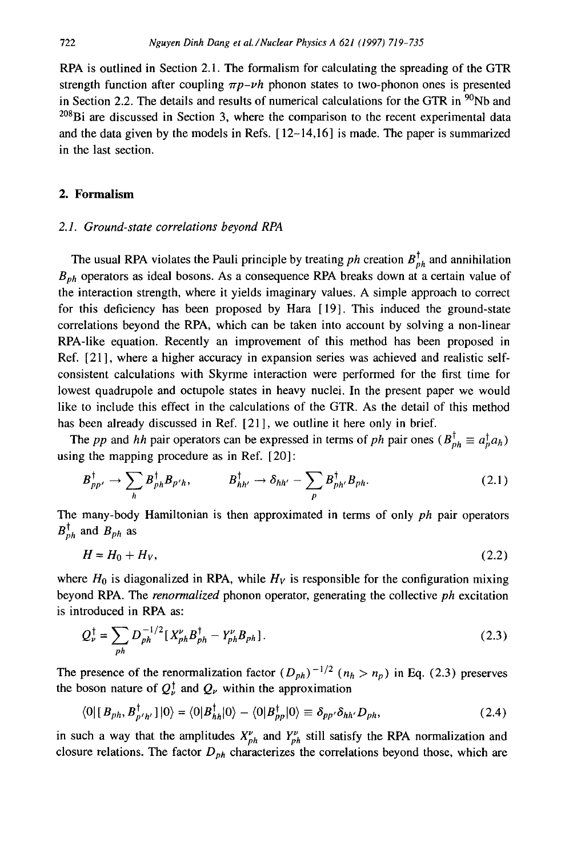RPA is outlined in Section 2.1. The formalism for calculating the spreading of the GTR strength function after coupling  $\pi p - \nu h$  phonon states to two-phonon ones is presented in Section 2.2. The details and results of numerical calculations for the GTR in  $\frac{90}{100}$  and  $^{208}$ Bi are discussed in Section 3, where the comparison to the recent experimental data and the data given by the models in Refs.  $[12-14,16]$  is made. The paper is summarized in the last section.

# **2. Formalism**

## *2.1. Ground-state correlations beyond RPA*

The usual RPA violates the Pauli principle by treating  $ph$  creation  $B_{ph}^{\dagger}$  and annihilation  $B<sub>ph</sub>$  operators as ideal bosons. As a consequence RPA breaks down at a certain value of the interaction strength, where it yields imaginary values. A simple approach to correct for this deficiency has been proposed by Hara [19]. This induced the ground-state correlations beyond the RPA, which can be taken into account by solving a non-linear RPA-like equation. Recently an improvement of this method has been proposed in Ref. [21], where a higher accuracy in expansion series was achieved and realistic selfconsistent calculations with Skyrme interaction were performed for the first time for lowest quadrupole and octupole states in heavy nuclei. In the present paper we would like to include this effect in the calculations of the GTR. As the detail of this method has been already discussed in Ref. [21], we outline it here only in brief.

The *pp* and *hh* pair operators can be expressed in terms of *ph* pair ones  $(B_{ph}^{\dagger} \equiv a_{p}^{\dagger} a_{h})$ using the mapping procedure as in Ref. [20]:

$$
B_{pp'}^{\dagger} \rightarrow \sum_{h} B_{ph}^{\dagger} B_{p'h}, \qquad B_{hh'}^{\dagger} \rightarrow \delta_{hh'} - \sum_{p} B_{ph'}^{\dagger} B_{ph}. \qquad (2.1)
$$

The many-body Hamiltonian is then approximated in terms of only *ph* pair operators  $B_{ph}^{\dagger}$  and  $B_{ph}$  as

$$
H = H_0 + H_V, \tag{2.2}
$$

where  $H_0$  is diagonalized in RPA, while  $H_V$  is responsible for the configuration mixing beyond RPA. The *renormalized* phonon operator, generating the collective *ph* excitation is introduced in RPA as:

$$
Q_{\nu}^{\dagger} = \sum_{ph} D_{ph}^{-1/2} [X_{ph}^{\nu} B_{ph}^{\dagger} - Y_{ph}^{\nu} B_{ph}].
$$
 (2.3)

The presence of the renormalization factor  $(D_{ph})^{-1/2}$   $(n_h > n_p)$  in Eq. (2.3) preserves the boson nature of  $Q_{\nu}^{\dagger}$  and  $Q_{\nu}$  within the approximation

$$
\langle 0 | [B_{ph}, B_{p'h'}^{\dagger}] | 0 \rangle = \langle 0 | B_{hh}^{\dagger} | 0 \rangle - \langle 0 | B_{pp}^{\dagger} | 0 \rangle \equiv \delta_{pp'} \delta_{hh'} D_{ph}, \qquad (2.4)
$$

in such a way that the amplitudes  $X_{ph}^{\nu}$  and  $Y_{ph}^{\nu}$  still satisfy the RPA normalization and closure relations. The factor  $D_{ph}$  characterizes the correlations beyond those, which are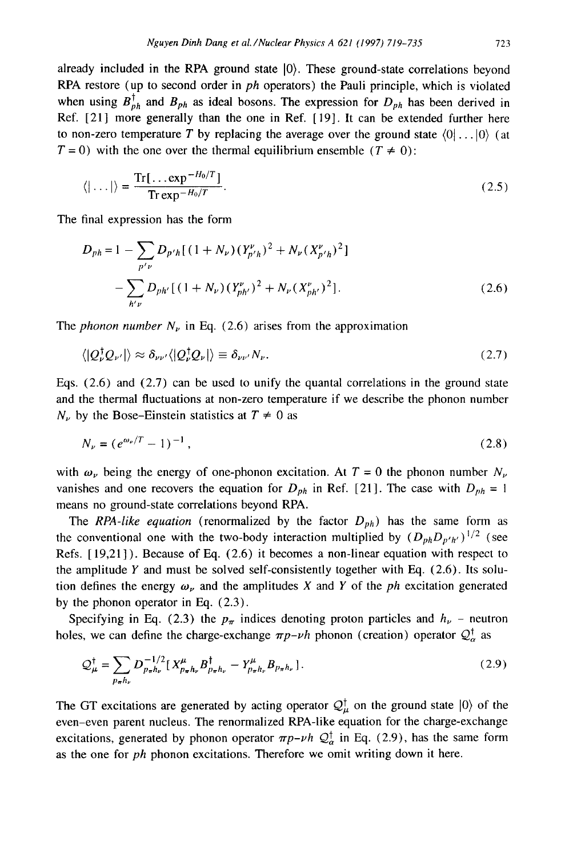already included in the RPA ground state  $|0\rangle$ . These ground-state correlations beyond RPA restore (up to second order in *ph* operators) the Pauli principle, which is violated when using  $B_{ph}^{\dagger}$  and  $B_{ph}$  as ideal bosons. The expression for  $D_{ph}$  has been derived in Ref. [21] more generally than the one in Ref. [19]. It can be extended further here to non-zero temperature T by replacing the average over the ground state  $\langle 0| \dots |0 \rangle$  (at  $T = 0$ ) with the one over the thermal equilibrium ensemble  $(T \neq 0)$ :

$$
\langle |\ldots| \rangle = \frac{\text{Tr}[\ldots \exp^{-H_0/T}]}{\text{Tr} \exp^{-H_0/T}}.
$$
 (2.5)

The final expression has the form

$$
D_{ph} = 1 - \sum_{p' \nu} D_{p'h} [(1 + N_{\nu}) (Y_{p'h}^{\nu})^2 + N_{\nu} (X_{p'h}^{\nu})^2]
$$
  
- 
$$
\sum_{h' \nu} D_{ph'} [(1 + N_{\nu}) (Y_{ph'}^{\nu})^2 + N_{\nu} (X_{ph'}^{\nu})^2].
$$
 (2.6)

The *phonon number*  $N_{\nu}$  in Eq. (2.6) arises from the approximation

$$
\langle |Q_{\nu}^{\dagger}Q_{\nu'}| \rangle \approx \delta_{\nu\nu'}\langle |Q_{\nu}^{\dagger}Q_{\nu}| \rangle \equiv \delta_{\nu\nu'}N_{\nu}.
$$
\n(2.7)

Eqs.  $(2.6)$  and  $(2.7)$  can be used to unify the quantal correlations in the ground state and the thermal fluctuations at non-zero temperature if we describe the phonon number  $N_{\nu}$  by the Bose-Einstein statistics at  $T \neq 0$  as

$$
N_{\nu} = (e^{\omega_{\nu}/T} - 1)^{-1},\tag{2.8}
$$

with  $\omega_{\nu}$  being the energy of one-phonon excitation. At  $T = 0$  the phonon number  $N_{\nu}$ vanishes and one recovers the equation for  $D_{ph}$  in Ref. [21]. The case with  $D_{ph} = 1$ means no ground-state correlations beyond RPA.

The *RPA-like equation* (renormalized by the factor  $D_{ph}$ ) has the same form as the conventional one with the two-body interaction multiplied by  $(D_{ph}D_{p'h'})^{1/2}$  (see Refs. [ 19,21] ). Because of Eq. (2.6) it becomes a non-linear equation with respect to the amplitude  $Y$  and must be solved self-consistently together with Eq. (2.6). Its solution defines the energy  $\omega_{\nu}$  and the amplitudes X and Y of the *ph* excitation generated by the phonon operator in Eq. (2.3).

Specifying in Eq. (2.3) the  $p_{\pi}$  indices denoting proton particles and  $h_{\nu}$  – neutron holes, we can define the charge-exchange  $\pi p$ -vh phonon (creation) operator  $\mathcal{Q}_{\alpha}^{\dagger}$  as

$$
\mathcal{Q}_{\mu}^{\dagger} = \sum_{p_{\pi}h_{\nu}} D_{p_{\pi}h_{\nu}}^{-1/2} \left[ X_{p_{\pi}h_{\nu}}^{\mu} B_{p_{\pi}h_{\nu}}^{\dagger} - Y_{p_{\pi}h_{\nu}}^{\mu} B_{p_{\pi}h_{\nu}} \right].
$$
 (2.9)

The GT excitations are generated by acting operator  $\mathcal{Q}_{\mu}^{\dagger}$  on the ground state  $|0\rangle$  of the even-even parent nucleus. The renormalized RPA-like equation for the charge-exchange excitations, generated by phonon operator  $\pi p - \nu h Q^{\dagger}_{\alpha}$  in Eq. (2.9), has the same form as the one for *ph* phonon excitations. Therefore we omit writing down it here.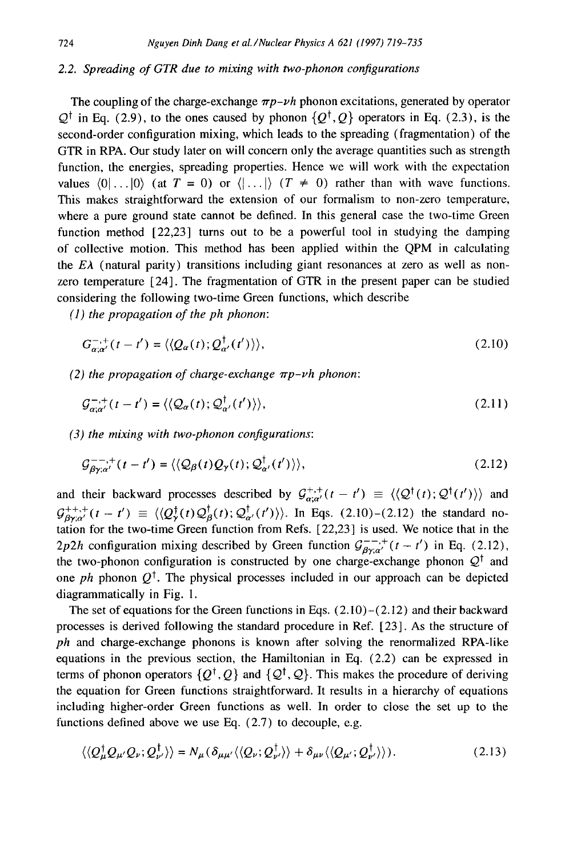#### *2.2. Spreading of GTR due to mixing with two-phonon configurations*

The coupling of the charge-exchange  $\pi p - \nu h$  phonon excitations, generated by operator  $Q^{\dagger}$  in Eq. (2.9), to the ones caused by phonon  $\{Q^{\dagger}, Q\}$  operators in Eq. (2.3), is the second-order configuration mixing, which leads to the spreading (fragmentation) of the GTR in RPA. Our study later on will concern only the average quantities such as strength function, the energies, spreading properties. Hence we will work with the expectation values  $(0|...|0)$  (at  $T = 0$ ) or  $\langle |...|\rangle$   $(T \neq 0)$  rather than with wave functions. This makes straightforward the extension of our formalism to non-zero temperature, where a pure ground state cannot be defined. In this general case the two-time Green function method [22,23] turns out to be a powerful tool in studying the damping of collective motion. This method has been applied within the QPM in calculating the  $E\lambda$  (natural parity) transitions including giant resonances at zero as well as nonzero temperature [24]. The fragmentation of GTR in the present paper can be studied considering the following two-time Green functions, which describe

*(1) the propagation of the ph phonon:* 

$$
G_{\alpha;\alpha'}^{-,+}(t-t') = \langle \langle Q_{\alpha}(t); Q_{\alpha'}^{\dagger}(t') \rangle \rangle, \tag{2.10}
$$

*(2) the propagation of charge-exchange*  $\pi p$ -*vh phonon:* 

$$
\mathcal{G}_{\alpha;\alpha'}^{-,+}(t-t') = \langle \langle \mathcal{Q}_{\alpha}(t); \mathcal{Q}_{\alpha'}^{\dagger}(t') \rangle \rangle, \tag{2.11}
$$

*(3) the mixing with two-phonon configurations:* 

$$
\mathcal{G}_{\beta\gamma;\alpha'}^{--,+}(t-t') = \langle \langle \mathcal{Q}_{\beta}(t)\mathcal{Q}_{\gamma}(t); \mathcal{Q}_{\alpha'}^{\dagger}(t') \rangle \rangle, \tag{2.12}
$$

and their backward processes described by  $\mathcal{G}^{+,+}_{\alpha;\alpha'}(t-t') \equiv \langle \langle \mathcal{Q}^{\dagger}(t); \mathcal{Q}^{\dagger}(t') \rangle \rangle$  and  $G_{\beta y;\alpha'}^{++,+}(t-t') \equiv \langle \langle Q^{\dagger}_{\gamma}(t)Q^{\dagger}_{\beta}(t);Q^{\dagger}_{\alpha'}(t') \rangle \rangle$ . In Eqs. (2.10)-(2.12) the standard notation for the two-time Green function from Refs. [22,23] is used. We notice that in the 2p2h configuration mixing described by Green function  $G_{\beta y;\alpha'}^{--,+}(t - t')$  in Eq. (2.12), the two-phonon configuration is constructed by one charge-exchange phonon  $\mathcal{Q}^{\dagger}$  and one *ph* phonon  $Q^{\dagger}$ . The physical processes included in our approach can be depicted diagrammatically in Fig. 1.

The set of equations for the Green functions in Eqs.  $(2.10)-(2.12)$  and their backward processes is derived following the standard procedure in Ref. [23]. As the structure of *ph* and charge-exchange phonons is known after solving the renormalized RPA-like equations in the previous section, the Hamiltonian in Eq. (2.2) can be expressed in terms of phonon operators  $\{Q^{\dagger}, Q\}$  and  $\{Q^{\dagger}, Q\}$ . This makes the procedure of deriving the equation for Green functions straightforward. It results in a hierarchy of equations including higher-order Green functions as well. In order to close the set up to the functions defined above we use Eq. (2.7) to decouple, e.g.

$$
\langle \langle Q_{\mu}^{\dagger} Q_{\mu'} Q_{\nu}; Q_{\nu'}^{\dagger} \rangle \rangle = N_{\mu} (\delta_{\mu \mu'} \langle \langle Q_{\nu}; Q_{\nu'}^{\dagger} \rangle \rangle + \delta_{\mu \nu} \langle \langle Q_{\mu'}; Q_{\nu'}^{\dagger} \rangle \rangle ). \tag{2.13}
$$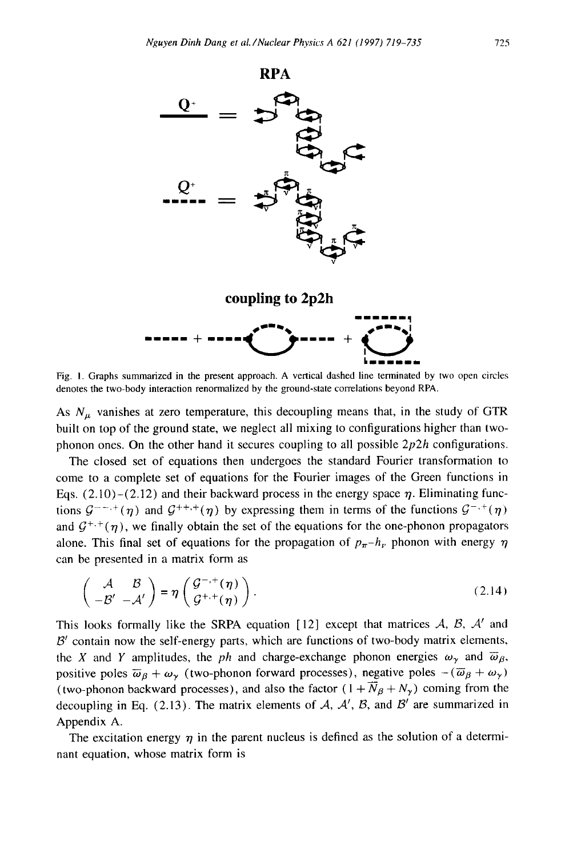

Fig. 1. Graphs summarized in the present approach. A vertical dashed line terminated by two open circles denotes the two-body interaction renormalized by the ground-state correlations beyond RPA.

As  $N_{\mu}$  vanishes at zero temperature, this decoupling means that, in the study of GTR built on top of the ground state, we neglect all mixing to configurations higher than twophonon ones. On the other hand it secures coupling to all possible *2p2h* configurations.

The closed set of equations then undergoes the standard Fourier transformation to come to a complete set of equations for the Fourier images of the Green functions in Eqs. (2.10)-(2.12) and their backward process in the energy space  $\eta$ . Eliminating functions  $G^{-,-,+}(\eta)$  and  $G^{++,+}(\eta)$  by expressing them in terms of the functions  $G^{-,+}(\eta)$ and  $G^{+,+}(\eta)$ , we finally obtain the set of the equations for the one-phonon propagators alone. This final set of equations for the propagation of  $p_{\pi}-h_{\nu}$ , phonon with energy  $\eta$ can be presented in a matrix form as

$$
\begin{pmatrix} A & B \\ -B' & -A' \end{pmatrix} = \eta \begin{pmatrix} \mathcal{G}^{-,+}(\eta) \\ \mathcal{G}^{+,+}(\eta) \end{pmatrix}.
$$
 (2.14)

This looks formally like the SRPA equation [12] except that matrices  $A$ ,  $B$ ,  $A'$  and  $\mathcal{B}'$  contain now the self-energy parts, which are functions of two-body matrix elements, the X and Y amplitudes, the *ph* and charge-exchange phonon energies  $\omega_{\gamma}$  and  $\overline{\omega}_{\beta}$ , positive poles  $\overline{\omega}_B + \omega_\gamma$  (two-phonon forward processes), negative poles  $-(\overline{\omega}_B + \omega_\gamma)$ (two-phonon backward processes), and also the factor  $(1 + \overline{N}_{\beta} + N_{\gamma})$  coming from the decoupling in Eq. (2.13). The matrix elements of  $A$ ,  $A'$ ,  $B$ , and  $B'$  are summarized in Appendix A.

The excitation energy  $\eta$  in the parent nucleus is defined as the solution of a determinant equation, whose matrix form is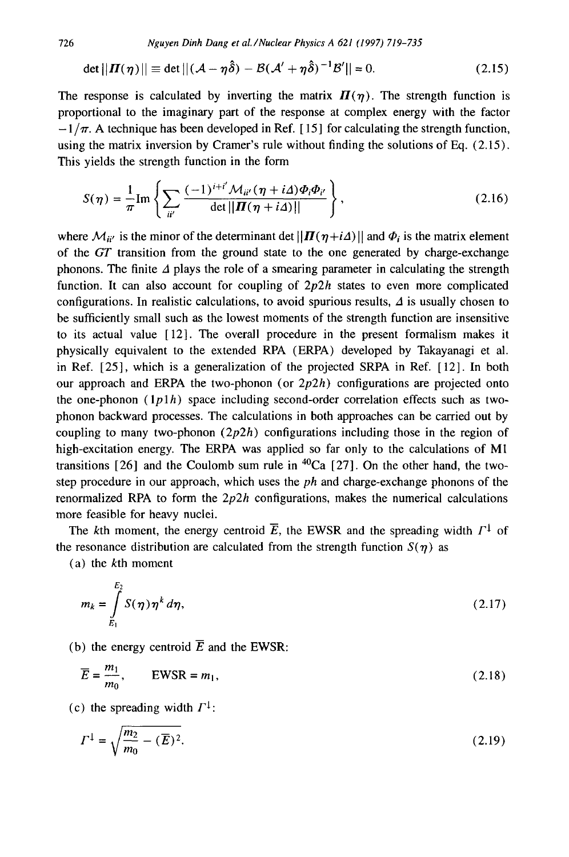726 *Nguyen Dinh Dang et al./Nuclear Physics A 621 (1997) 719-735* 

$$
\det ||\boldsymbol{\Pi}(\boldsymbol{\eta})|| \equiv \det ||(\mathcal{A} - \boldsymbol{\eta}\boldsymbol{\hat{\delta}}) - \mathcal{B}(\mathcal{A}' + \boldsymbol{\eta}\boldsymbol{\hat{\delta}})^{-1}\mathcal{B}'|| = 0. \tag{2.15}
$$

The response is calculated by inverting the matrix  $H(\eta)$ . The strength function is proportional to the imaginary part of the response at complex energy with the factor  $-1/\pi$ . A technique has been developed in Ref. [15] for calculating the strength function, using the matrix inversion by Cramer's rule without finding the solutions of Eq. (2.15). This yields the strength function in the form

$$
S(\eta) = \frac{1}{\pi} \mathrm{Im} \left\{ \sum_{ii'} \frac{(-1)^{i+i'} \mathcal{M}_{ii'}(\eta + i\Delta) \Phi_i \Phi_{i'}}{\det ||\mathbf{\Pi}(\eta + i\Delta)||} \right\},
$$
(2.16)

where  $\mathcal{M}_{ii'}$  is the minor of the determinant det  $||\mathbf{\Pi}(\eta + i\Delta)||$  and  $\Phi_i$  is the matrix element of the *GT* transition from the ground state to the one generated by charge-exchange phonons. The finite  $\Delta$  plays the role of a smearing parameter in calculating the strength function. It can also account for coupling of *2p2h* states to even more complicated configurations. In realistic calculations, to avoid spurious results,  $\Delta$  is usually chosen to be sufficiently small such as the lowest moments of the strength function are insensitive to its actual value [12]. The overall procedure in the present formalism makes it physically equivalent to the extended RPA (ERPA) developed by Takayanagi et al. in Ref. [25], which is a generalization of the projected SRPA in Ref. [ 12]. In both our approach and ERPA the two-phonon (or  $2p2h$ ) configurations are projected onto the one-phonon  $(1p1h)$  space including second-order correlation effects such as twophonon backward processes. The calculations in both approaches can be carried out by coupling to many two-phonon  $(2p2h)$  configurations including those in the region of high-excitation energy. The ERPA was applied so far only to the calculations of M1 transitions [26] and the Coulomb sum rule in  ${}^{40}Ca$  [27]. On the other hand, the twostep procedure in our approach, which uses the *ph* and charge-exchange phonons of the renormalized RPA to form the *2p2h* configurations, makes the numerical calculations more feasible for heavy nuclei.

The kth moment, the energy centroid  $\overline{E}$ , the EWSR and the spreading width  $\Gamma^{\downarrow}$  of the resonance distribution are calculated from the strength function  $S(\eta)$  as

(a) the kth moment

$$
m_k = \int_{E_1}^{E_2} S(\eta) \eta^k d\eta,
$$
\n(2.17)

(b) the energy centroid  $\overline{E}$  and the EWSR:

$$
\overline{E} = \frac{m_1}{m_0}, \qquad \text{EWSR} = m_1,\tag{2.18}
$$

(c) the spreading width  $\Gamma^{\downarrow}$ :

$$
\Gamma^{1} = \sqrt{\frac{m_2}{m_0} - (\overline{E})^2}.
$$
\n(2.19)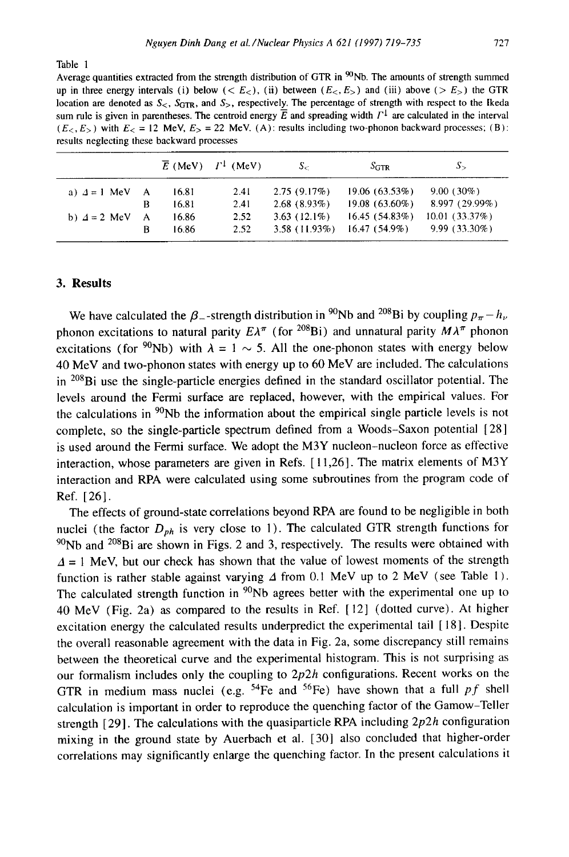Table 1

Average quantities extracted from the strength distribution of GTR in  $\mathfrak{R}_{\text{N}}$  The amounts of strength summed up in three energy intervals (i) below (<  $E<sub>z</sub>$ ), (ii) between ( $E<sub>z</sub>$ ,  $E<sub>z</sub>$ ) and (iii) above (>  $E<sub>z</sub>$ ) the GTR location are denoted as  $S_{\leq}$ ,  $S_{\text{GTR}}$ , and  $S_{\geq}$ , respectively. The percentage of strength with respect to the Ikeda sum rule is given in parentheses. The centroid energy  $\overline{E}$  and spreading width  $\Gamma^{\downarrow}$  are calculated in the interval  $(E<sub>5</sub>, E<sub>5</sub>)$  with  $E<sub>6</sub> = 12$  MeV,  $E<sub>5</sub> = 22$  MeV. (A); results including two-phonon backward processes; (B): results neglecting these backward processes

|                       |          |                | $\overline{E}$ (MeV) $\Gamma^{\downarrow}$ (MeV) | $S_{\leq}$                        | $S_{\rm GTR}$                    | $S_{\geq}$                       |
|-----------------------|----------|----------------|--------------------------------------------------|-----------------------------------|----------------------------------|----------------------------------|
| a) $\Delta = 1$ MeV A |          | 16.81          | 2.41                                             | 2.75(9.17%)                       | 19.06(63.53%)                    | $9.00(30\%)$                     |
|                       | B        | 16.81          | 2.41                                             | $2.68(8.93\%)$                    | $19.08(63.60\%)$                 | 8.997 (29.99%)                   |
| b) $\Delta = 2$ MeV   | - A<br>R | 16.86<br>16.86 | 2.52<br>2.52                                     | $3.63(12.1\%)$<br>$3.58(11.93\%)$ | 16.45(54.83%)<br>$16.47(54.9\%)$ | 10.01(33.37%)<br>$9.99(33.30\%)$ |

## **3. Results**

We have calculated the  $\beta_-$ -strength distribution in <sup>90</sup>Nb and <sup>208</sup>Bi by coupling  $p_{\pi} - h_{\nu}$ phonon excitations to natural parity  $E\lambda^{\pi}$  (for <sup>208</sup>Bi) and unnatural parity  $M\lambda^{\pi}$  phonon excitations (for <sup>90</sup>Nb) with  $\lambda = 1 \sim 5$ . All the one-phonon states with energy below 40 MeV and two-phonon states with energy up to 60 MeV are included. The calculations in <sup>208</sup>Bi use the single-particle energies defined in the standard oscillator potential. The levels around the Fermi surface are replaced, however, with the empirical values. For the calculations in <sup>90</sup>Nb the information about the empirical single particle levels is not complete, so the single-particle spectrum defined from a Woods-Saxon potential [28] is used around the Fermi surface. We adopt the M3Y nucleon-nucleon force as effective interaction, whose parameters are given in Refs. [ 11,26]. The matrix elements of M3Y interaction and RPA were calculated using some subroutines from the program code of Ref. [26].

The effects of ground-state correlations beyond RPA are found to be negligible in both nuclei (the factor  $D_{ph}$  is very close to 1). The calculated GTR strength functions for  $90$ Nb and  $208$ Bi are shown in Figs. 2 and 3, respectively. The results were obtained with  $\Delta = 1$  MeV, but our check has shown that the value of lowest moments of the strength function is rather stable against varying  $\Delta$  from 0.1 MeV up to 2 MeV (see Table 1). The calculated strength function in  $90Nb$  agrees better with the experimental one up to 40 MeV (Fig. 2a) as compared to the results in Ref. [ 12] (dotted curve). At higher excitation energy the calculated results underpredict the experimental tail [ 18]. Despite the overall reasonable agreement with the data in Fig. 2a, some discrepancy still remains between the theoretical curve and the experimental histogram. This is not surprising as our formalism includes only the coupling to *2p2h* configurations. Recent works on the GTR in medium mass nuclei (e.g. 54Fe and 56Fe) have shown that a full *pf* shell calculation is important in order to reproduce the quenching factor of the Gamow-Teller strength [29]. The calculations with the quasiparticle RPA including *2p2h* configuration mixing in the ground state by Auerbach et al. [30] also concluded that higher-order correlations may significantly enlarge the quenching factor. In the present calculations it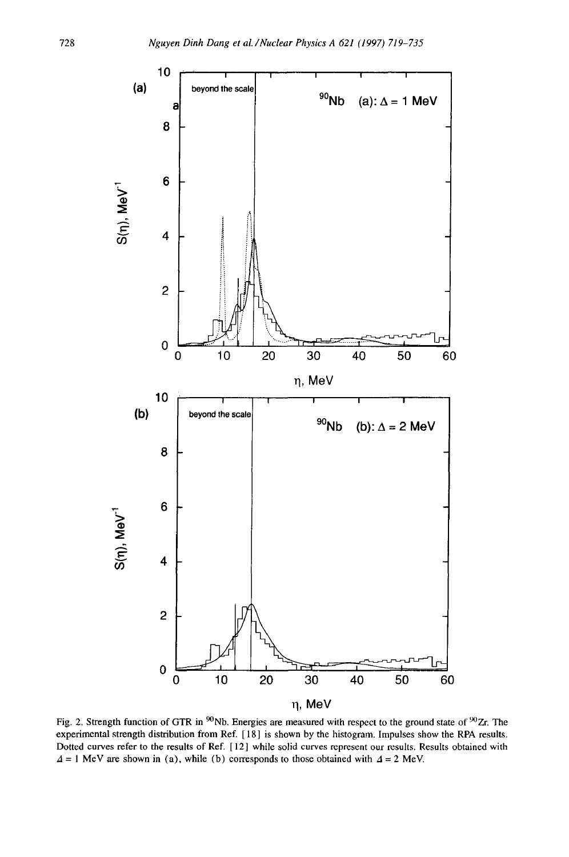

Fig. 2. Strength function of GTR in  $^{90}$ Nb. Energies are measured with respect to the ground state of  $^{90}Zr$ . The experimental strength distribution from Ref. [ 18] is shown by the histogram. Impulses show the RPA results. Dotted curves refer to the results of Ref. [ 12] while solid curves represent our results. Results obtained with  $\Delta = 1$  MeV are shown in (a), while (b) corresponds to those obtained with  $\Delta = 2$  MeV.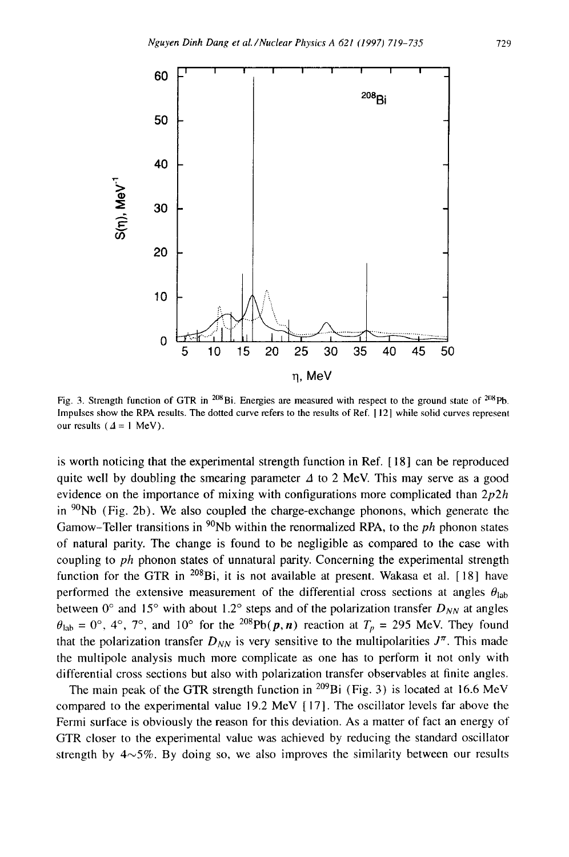

Fig. 3. Strength function of GTR in <sup>208</sup>Bi. Energies are measured with respect to the ground state of <sup>208</sup>Pb. Impulses show the RPA results. The dotted curve refers to the results of Ref. [12] while solid curves represent our results ( $\Delta = 1$  MeV).

is worth noticing that the experimental strength function in Ref. [ 18 ] can be reproduced quite well by doubling the smearing parameter  $\Delta$  to 2 MeV. This may serve as a good evidence on the importance of mixing with configurations more complicated than *2p2h*  in  $90Nb$  (Fig. 2b). We also coupled the charge-exchange phonons, which generate the Gamow-Teller transitions in <sup>90</sup>Nb within the renormalized RPA, to the *ph* phonon states of natural parity. The change is found to be negligible as compared to the case with coupling to *ph* phonon states of unnatural parity. Concerning the experimental strength function for the GTR in  $^{208}$ Bi, it is not available at present. Wakasa et al. [18] have performed the extensive measurement of the differential cross sections at angles  $\theta_{lab}$ between  $0^{\circ}$  and  $15^{\circ}$  with about 1.2° steps and of the polarization transfer  $D_{NN}$  at angles  $\theta_{\rm lab} = 0^{\circ}$ , 4°, 7°, and 10° for the <sup>208</sup>Pb( $p, n$ ) reaction at  $T_p = 295$  MeV. They found that the polarization transfer  $D_{NN}$  is very sensitive to the multipolarities  $J^{\pi}$ . This made the multipole analysis much more complicate as one has to perform it not only with differential cross sections but also with polarization transfer observables at finite angles.

The main peak of the GTR strength function in <sup>209</sup>Bi (Fig. 3) is located at 16.6 MeV compared to the experimental value 19.2 MeV [ 17]. The oscillator levels far above the Fermi surface is obviously the reason for this deviation. As a matter of fact an energy of GTR closer to the experimental value was achieved by reducing the standard oscillator strength by  $4\sim 5\%$ . By doing so, we also improves the similarity between our results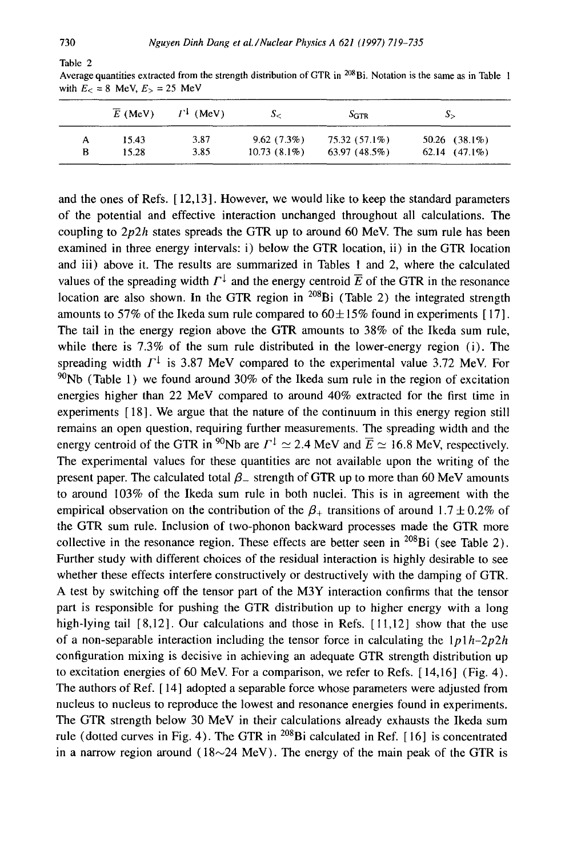| Table |  |
|-------|--|

|   | $E$ (MeV) | $\Gamma^{\downarrow}$ (MeV) | S-             | $S_{\rm GTR}$ | $\mathcal{S}_{\geq}$ |
|---|-----------|-----------------------------|----------------|---------------|----------------------|
| А | 15.43     | 3.87                        | 9.62(7.3%)     | 75.32 (57.1%) | 50.26 $(38.1\%)$     |
| в | 15.28     | 3.85                        | $10.73(8.1\%)$ | 63.97(48.5%)  | $62.14$ $(47.1\%)$   |

Average quantities extracted from the strength distribution of GTR in <sup>208</sup>Bi. Notation is the same as in Table 1 with  $E_ < = 8$  MeV,  $E_ > = 25$  MeV

and the ones of Refs. [ 12,13]. However, we would like to keep the standard parameters of the potential and effective interaction unchanged throughout all calculations. The coupling to *2p2h* states spreads the GTR up to around 60 MeV. The sum rule has been examined in three energy intervals: i) below the GTR location, ii) in the GTR location and iii) above it. The results are summarized in Tables 1 and 2, where the calculated values of the spreading width  $\Gamma^{\downarrow}$  and the energy centroid  $\overline{E}$  of the GTR in the resonance location are also shown. In the GTR region in  $^{208}$ Bi (Table 2) the integrated strength amounts to 57% of the Ikeda sum rule compared to  $60\pm15\%$  found in experiments [17]. The tail in the energy region above the GTR amounts to 38% of the Ikeda sum rule, while there is 7.3% of the sum rule distributed in the lower-energy region (i). The spreading width  $\Gamma^{\downarrow}$  is 3.87 MeV compared to the experimental value 3.72 MeV. For  $^{90}$ Nb (Table 1) we found around 30% of the Ikeda sum rule in the region of excitation energies higher than 22 MeV compared to around 40% extracted for the first time in experiments [ 18]. We argue that the nature of the continuum in this energy region still remains an open question, requiring further measurements. The spreading width and the energy centroid of the GTR in <sup>90</sup>Nb are  $\Gamma^{\downarrow} \simeq 2.4$  MeV and  $\overline{E} \simeq 16.8$  MeV, respectively. The experimental values for these quantities are not available upon the writing of the present paper. The calculated total  $\beta_-$  strength of GTR up to more than 60 MeV amounts to around 103% of the Ikeda sum rule in both nuclei. This is in agreement with the empirical observation on the contribution of the  $\beta_+$  transitions of around 1.7  $\pm$  0.2% of the GTR sum rule. Inclusion of two-phonon backward processes made the GTR more collective in the resonance region. These effects are better seen in  $^{208}$ Bi (see Table 2). Further study with different choices of the residual interaction is highly desirable to see whether these effects interfere constructively or destructively with the damping of GTR. A test by switching off the tensor part of the M3Y interaction confirms that the tensor part is responsible for pushing the GTR distribution up to higher energy with a long high-lying tail [8,12]. Our calculations and those in Refs. [11,12] show that the use of a non-separable interaction including the tensor force in calculating the  $1p1h-2p2h$ configuration mixing is decisive in achieving an adequate GTR strength distribution up to excitation energies of 60 MeV. For a comparison, we refer to Refs. [ 14,16] (Fig. 4). The authors of Ref. [ 14] adopted a separable force whose parameters were adjusted from nucleus to nucleus to reproduce the lowest and resonance energies found in experiments. The GTR strength below 30 MeV in their calculations already exhausts the Ikeda sum rule (dotted curves in Fig. 4). The GTR in  $^{208}$ Bi calculated in Ref. [16] is concentrated in a narrow region around ( $18{\sim}24$  MeV). The energy of the main peak of the GTR is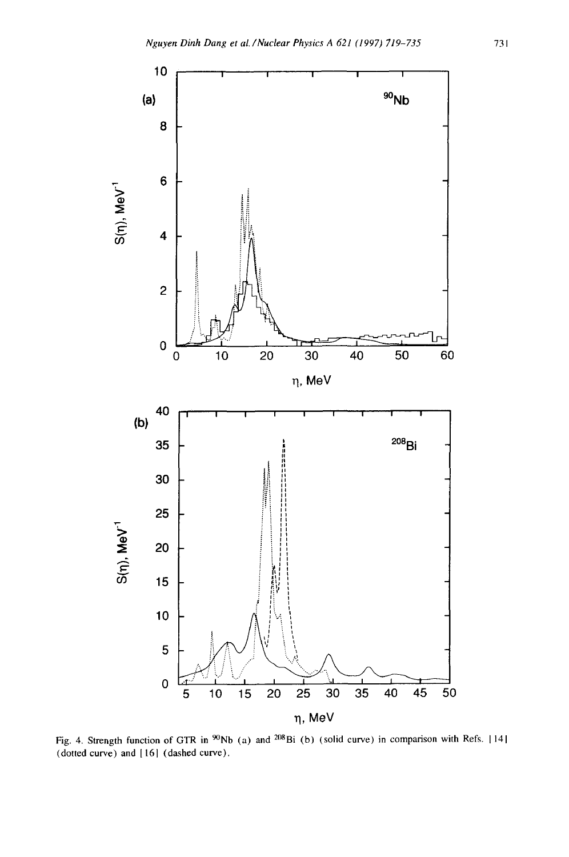

Fig. 4. Strength function of GTR in <sup>90</sup>Nb (a) and <sup>208</sup>Bi (b) (solid curve) in comparison with Refs. [14] (dotted curve) and 1161 (dashed curve).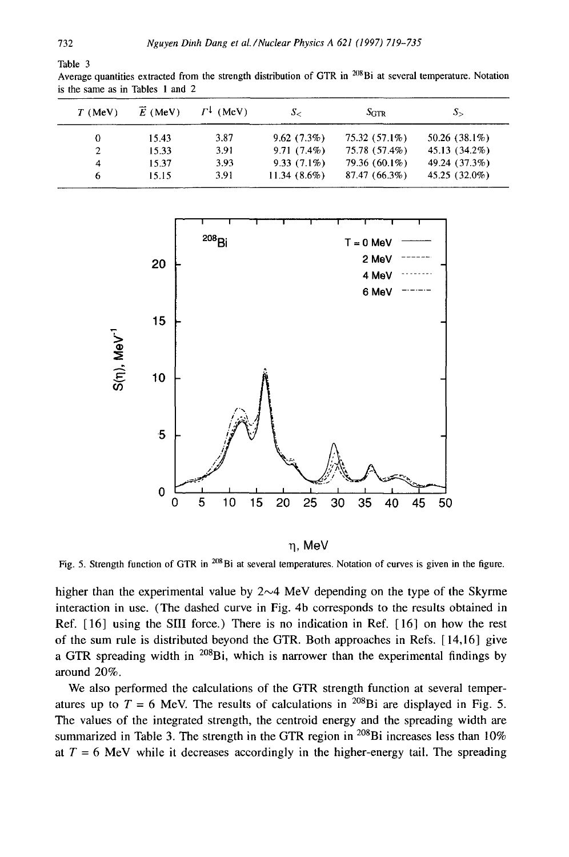| $T$ (MeV)    | $\overline{E}$ (MeV) | $\Gamma^{\perp}$ (MeV) | S-             | $S_{GTR}$     | $S_{\ge}$       |
|--------------|----------------------|------------------------|----------------|---------------|-----------------|
| 0            | 15.43                | 3.87                   | 9.62(7.3%)     | 75.32 (57.1%) | $50.26(38.1\%)$ |
| $\mathbf{2}$ | 15.33                | 3.91                   | $9.71(7.4\%)$  | 75.78 (57.4%) | 45.13 (34.2%)   |
| 4            | 15.37                | 3.93                   | $9.33(7.1\%)$  | 79.36 (60.1%) | 49.24 (37.3%)   |
| 6            | 15.15                | 3.91                   | $11.34(8.6\%)$ | 87.47 (66.3%) | 45.25 (32.0%)   |

Average quantities extracted from the strength distribution of GTR in <sup>208</sup>Bi at several temperature. Notation is the same as in Tables 1 and 2



n. MeV

Fig. 5. Strength function of GTR in <sup>208</sup>Bi at several temperatures. Notation of curves is given in the figure.

higher than the experimental value by  $2~\sim$ 4 MeV depending on the type of the Skyrme interaction in use. (The dashed curve in Fig. 4b corresponds to the results obtained in Ref. [ 16] using the SIII force.) There is no indication in Ref. [ 16] on how the rest of the sum rule is distributed beyond the GTR. Both approaches in Refs. [ 14,16] give a GTR spreading width in  $^{208}$ Bi, which is narrower than the experimental findings by around 20%.

We also performed the calculations of the GTR strength function at several temperatures up to  $T = 6$  MeV. The results of calculations in <sup>208</sup>Bi are displayed in Fig. 5. The values of the integrated strength, the centroid energy and the spreading width are summarized in Table 3. The strength in the GTR region in  $^{208}$ Bi increases less than 10% at  $T = 6$  MeV while it decreases accordingly in the higher-energy tail. The spreading

Table 3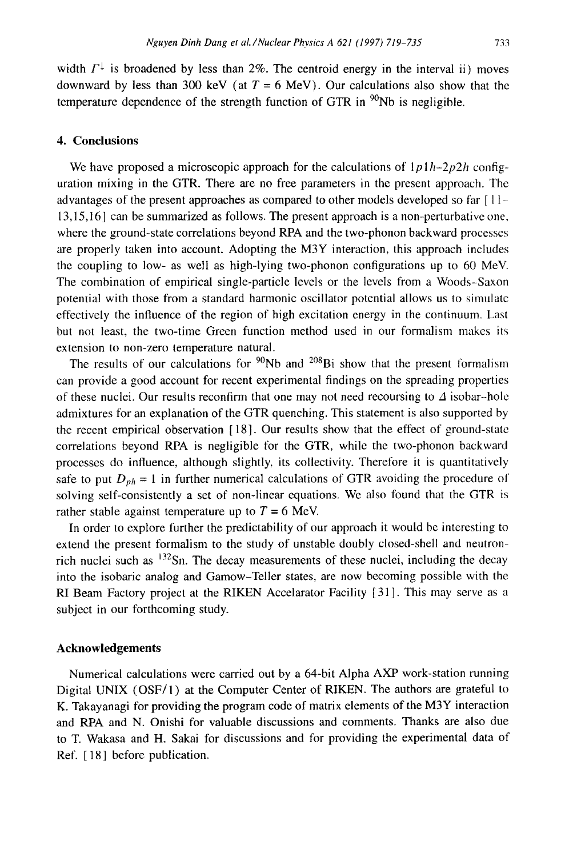width  $\Gamma^{\downarrow}$  is broadened by less than 2%. The centroid energy in the interval ii) moves downward by less than 300 keV (at  $T = 6$  MeV). Our calculations also show that the temperature dependence of the strength function of GTR in  $^{90}$ Nb is negligible.

# **4. Conclusions**

We have proposed a microscopic approach for the calculations of  $1p1h-2p2h$  configuration mixing in the GTR. There are no free parameters in the present approach. The advantages of the present approaches as compared to other models developed so far [ 1 1- 13,15,16] can be summarized as follows. The present approach is a non-perturbative one. where the ground-state correlations beyond RPA and the two-phonon backward processes are properly taken into account. Adopting the M3Y interaction, this approach includes the coupling to low- as well as high-lying two-phonon configurations up to 60 MeV. The combination of empirical single-particle levels or the levels from a Woods-Saxon potential with those from a standard harmonic oscillator potential allows us to simulate effectively the influence of the region of high excitation energy in the continuum. Last but not least, the two-time Green function method used in our formalism makes its extension to non-zero temperature natural.

The results of our calculations for  $90Nb$  and  $208Bi$  show that the present formalism can provide a good account for recent experimental findings on the spreading properties of these nuclei. Our results reconfirm that one may not need recoursing to  $\Delta$  isobar-hole admixtures for an explanation of the GTR quenching. This statement is also supported by the recent empirical observation [ 18]. Our results show that the effect of ground-state correlations beyond RPA is negligible for the GTR, while the two-phonon backward processes do influence, although slightly, its collectivity. Therefore it is quantitatively safe to put  $D_{ph} = 1$  in further numerical calculations of GTR avoiding the procedure of solving self-consistently a set of non-linear equations. We also found that the GTR is rather stable against temperature up to  $T = 6$  MeV.

In order to explore further the predictability of our approach it would be interesting to extend the present formalism to the study of unstable doubly closed-shell and neutronrich nuclei such as  $^{132}$ Sn. The decay measurements of these nuclei, including the decay into the isobaric analog and Gamow-Teller states, are now becoming possible with the RI Beam Factory project at the RIKEN Accelarator Facility [31]. This may serve as a subject in our forthcoming study.

## **Acknowledgements**

Numerical calculations were carried out by a 64-bit Alpha AXP work-station running Digital UNIX (OSF/1) at the Computer Center of RIKEN. The authors are grateful to K. Takayanagi for providing the program code of matrix elements of the M3Y interaction and RPA and N. Onishi for valuable discussions and comments. Thanks are also due to T. Wakasa and H. Sakai for discussions and for providing the experimental data of Ref. [18] before publication.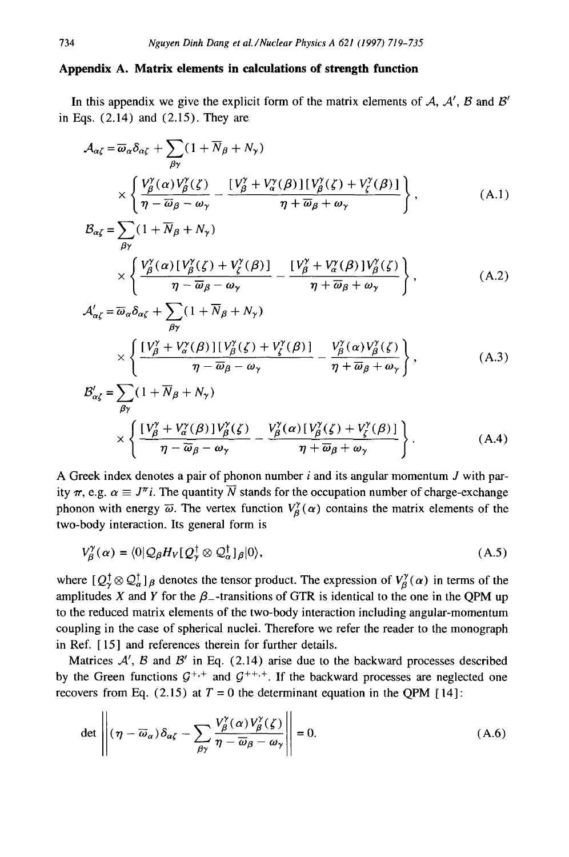## **Appendix A. Matrix elements in calculations of strength funetion**

In this appendix we give the explicit form of the matrix elements of  $A$ ,  $A'$ ,  $B$  and  $B'$ in Eqs. (2.14) and (2.15). They are

$$
\mathcal{A}_{\alpha\zeta} = \overline{\omega}_{\alpha} \delta_{\alpha\zeta} + \sum_{\beta\gamma} (1 + \overline{N}_{\beta} + N_{\gamma})
$$
\n
$$
\times \left\{ \frac{V_{\beta}^{\gamma}(\alpha) V_{\beta}^{\gamma}(\zeta)}{\eta - \overline{\omega}_{\beta} - \omega_{\gamma}} - \frac{[V_{\beta}^{\gamma} + V_{\alpha}^{\gamma}(\beta)][V_{\beta}^{\gamma}(\zeta) + V_{\zeta}^{\gamma}(\beta)]}{\eta + \overline{\omega}_{\beta} + \omega_{\gamma}} \right\},
$$
\n(A.1)

$$
\mathcal{B}_{\alpha\zeta} = \sum_{\beta\gamma} (1 + N_{\beta} + N_{\gamma})
$$
\n
$$
\times \left\{ \frac{V_{\beta}^{\gamma}(\alpha) \left[ V_{\beta}^{\gamma}(\zeta) + V_{\zeta}^{\gamma}(\beta) \right] - \left[ V_{\beta}^{\gamma} + V_{\alpha}^{\gamma}(\beta) \right] V_{\beta}^{\gamma}(\zeta)}{\eta - \overline{\omega}_{\beta} - \omega_{\gamma}} - \frac{V_{\beta}^{\gamma} + V_{\alpha}^{\gamma}(\beta) \left[ V_{\beta}^{\gamma}(\zeta) \right]}{\eta + \overline{\omega}_{\beta} + \omega_{\gamma}} \right\},
$$
\n(A.2)

$$
\mathcal{A}_{\alpha\zeta}^{\prime} = \overline{\omega}_{\alpha} \delta_{\alpha\zeta} + \sum_{\beta\gamma} (1 + \overline{N}_{\beta} + N_{\gamma})
$$
\n
$$
\times \left\{ \frac{[V_{\beta}^{\gamma} + V_{\alpha}^{\gamma}(\beta)][V_{\beta}^{\gamma}(\zeta) + V_{\zeta}^{\gamma}(\beta)]}{n - \overline{\omega}_{\beta} - \omega_{\alpha}} - \frac{V_{\beta}^{\gamma}(\alpha)V_{\beta}^{\gamma}(\zeta)}{n + \overline{\omega}_{\beta} + \omega_{\alpha}} \right\},
$$
\n(A.3)

$$
\mathcal{B}_{\alpha\zeta}^{\prime} = \sum_{\beta\gamma} (1 + \overline{N}_{\beta} + N_{\gamma})
$$
\n
$$
\times \left\{ \frac{[V_{\beta}^{\gamma} + V_{\alpha}^{\gamma}(\beta)]V_{\beta}^{\gamma}(\zeta)}{\eta - \overline{\omega}_{\beta} - \omega_{\gamma}} - \frac{V_{\beta}^{\gamma}(\alpha)[V_{\beta}^{\gamma}(\zeta) + V_{\zeta}^{\gamma}(\beta)]}{\eta + \overline{\omega}_{\beta} + \omega_{\gamma}} \right\}.
$$
\n(A.4)

A Greek index denotes a pair of phonon number  $i$  and its angular momentum  $J$  with parity  $\pi$ , e.g.  $\alpha \equiv J^{\pi}i$ . The quantity  $\overline{N}$  stands for the occupation number of charge-exchange phonon with energy  $\bar{\omega}$ . The vertex function  $V_{\beta}^{\gamma}(\alpha)$  contains the matrix elements of the two-body interaction. Its general form is

$$
V_{\beta}^{\gamma}(\alpha) = \langle 0 | \mathcal{Q}_{\beta} H_{V} [ \mathcal{Q}_{V}^{\dagger} \otimes \mathcal{Q}_{\alpha}^{\dagger}]_{\beta} | 0 \rangle, \tag{A.5}
$$

where  $[Q^{\dagger}_{\alpha} \otimes Q^{\dagger}_{\alpha}]_{\beta}$  denotes the tensor product. The expression of  $V^{\gamma}_{\beta}(\alpha)$  in terms of the amplitudes X and Y for the  $\beta$ -transitions of GTR is identical to the one in the QPM up to the reduced matrix elements of the two-body interaction including angular-momentum coupling in the case of spherical nuclei. Therefore we refer the reader to the monograph in Ref. [ 15] and references therein for further details.

Matrices  $A'$ , B and B' in Eq. (2.14) arise due to the backward processes described by the Green functions  $G^{+,+}$  and  $G^{+,+}$ . If the backward processes are neglected one recovers from Eq. (2.15) at  $T = 0$  the determinant equation in the QPM [14]:

$$
\det \left\| (\eta - \overline{\omega}_{\alpha}) \delta_{\alpha \zeta} - \sum_{\beta \gamma} \frac{V_{\beta}^{\gamma}(\alpha) V_{\beta}^{\gamma}(\zeta)}{\eta - \overline{\omega}_{\beta} - \omega_{\gamma}} \right\| = 0.
$$
 (A.6)